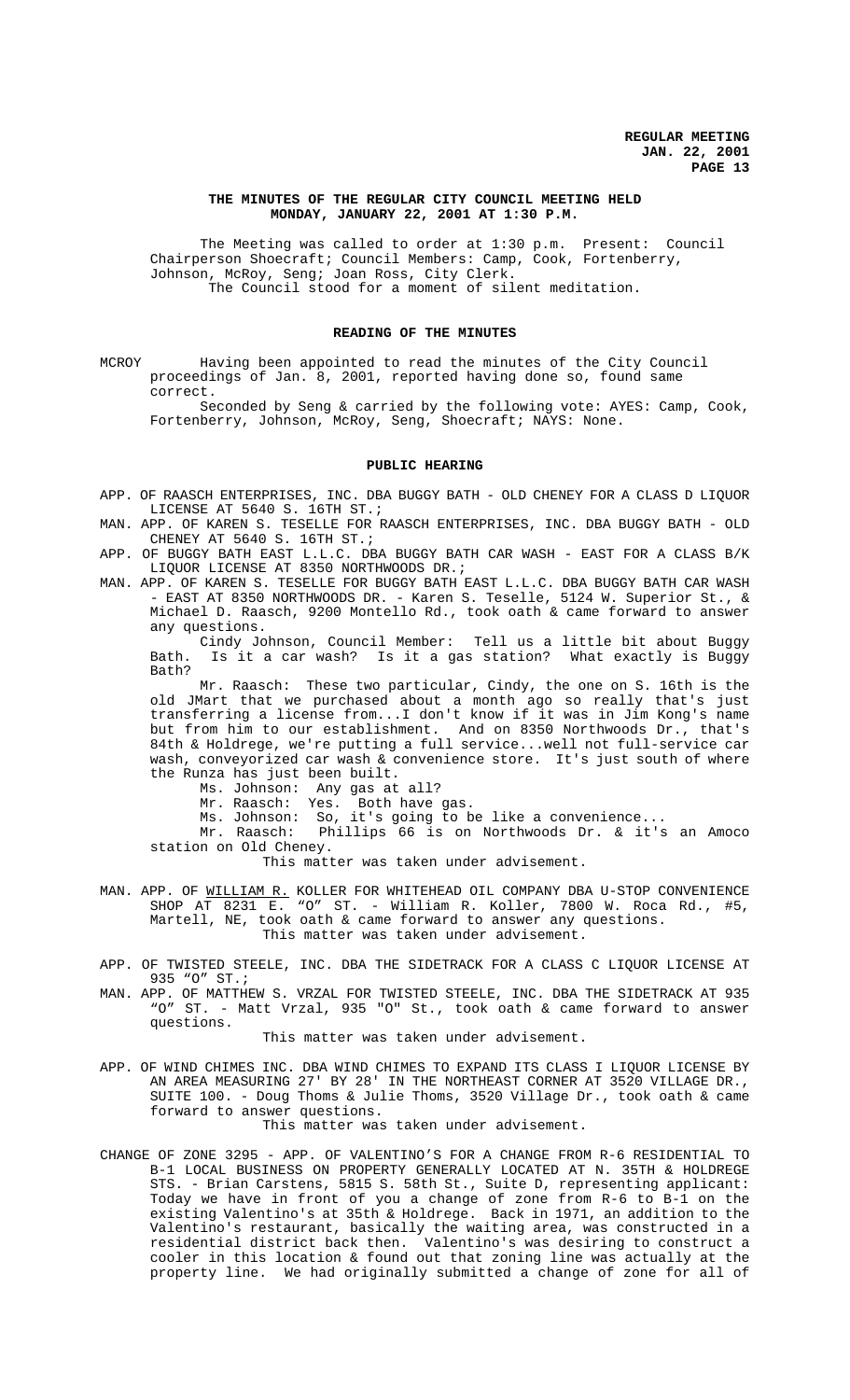## **THE MINUTES OF THE REGULAR CITY COUNCIL MEETING HELD MONDAY, JANUARY 22, 2001 AT 1:30 P.M.**

The Meeting was called to order at 1:30 p.m. Present: Council Chairperson Shoecraft; Council Members: Camp, Cook, Fortenberry, Johnson, McRoy, Seng; Joan Ross, City Clerk. The Council stood for a moment of silent meditation.

# **READING OF THE MINUTES**

MCROY Having been appointed to read the minutes of the City Council proceedings of Jan. 8, 2001, reported having done so, found same correct.

Seconded by Seng & carried by the following vote: AYES: Camp, Cook, Fortenberry, Johnson, McRoy, Seng, Shoecraft; NAYS: None.

#### **PUBLIC HEARING**

- APP. OF RAASCH ENTERPRISES, INC. DBA BUGGY BATH OLD CHENEY FOR A CLASS D LIQUOR LICENSE AT 5640 S. 16TH ST.;
- MAN. APP. OF KAREN S. TESELLE FOR RAASCH ENTERPRISES, INC. DBA BUGGY BATH OLD CHENEY AT 5640 S. 16TH ST.;
- APP. OF BUGGY BATH EAST L.L.C. DBA BUGGY BATH CAR WASH EAST FOR A CLASS B/K LIQUOR LICENSE AT 8350 NORTHWOODS DR.;
- MAN. APP. OF KAREN S. TESELLE FOR BUGGY BATH EAST L.L.C. DBA BUGGY BATH CAR WASH - EAST AT 8350 NORTHWOODS DR. - Karen S. Teselle, 5124 W. Superior St., & Michael D. Raasch, 9200 Montello Rd., took oath & came forward to answer any questions.

Cindy Johnson, Council Member: Tell us a little bit about Buggy Bath. Is it a car wash? Is it a gas station? What exactly is Buggy Bath?

Mr. Raasch: These two particular, Cindy, the one on S. 16th is the old JMart that we purchased about a month ago so really that's just transferring a license from...I don't know if it was in Jim Kong's name but from him to our establishment. And on 8350 Northwoods Dr., that's 84th & Holdrege, we're putting a full service...well not full-service car wash, conveyorized car wash & convenience store. It's just south of where the Runza has just been built.

Ms. Johnson: Any gas at all?

Mr. Raasch: Yes. Both have gas.

Ms. Johnson: So, it's going to be like a convenience...

Mr. Raasch: Phillips 66 is on Northwoods Dr. & it's an Amoco station on Old Cheney.

This matter was taken under advisement.

- MAN. APP. OF WILLIAM R. KOLLER FOR WHITEHEAD OIL COMPANY DBA U-STOP CONVENIENCE SHOP AT 8231 E. "O" ST. - William R. Koller, 7800 W. Roca Rd., #5, Martell, NE, took oath & came forward to answer any questions. This matter was taken under advisement.
- APP. OF TWISTED STEELE, INC. DBA THE SIDETRACK FOR A CLASS C LIQUOR LICENSE AT 935 "O" ST.;
- MAN. APP. OF MATTHEW S. VRZAL FOR TWISTED STEELE, INC. DBA THE SIDETRACK AT 935<br>"O" ST. Matt Vrzal. 935 "O" St., took oath & came forward to answer ST. - Matt Vrzal, 935 "O" St., took oath & came forward to answer questions.

This matter was taken under advisement.

APP. OF WIND CHIMES INC. DBA WIND CHIMES TO EXPAND ITS CLASS I LIQUOR LICENSE BY AN AREA MEASURING 27' BY 28' IN THE NORTHEAST CORNER AT 3520 VILLAGE DR., SUITE 100. - Doug Thoms & Julie Thoms, 3520 Village Dr., took oath & came forward to answer questions.

This matter was taken under advisement.

CHANGE OF ZONE 3295 - APP. OF VALENTINO'S FOR A CHANGE FROM R-6 RESIDENTIAL TO B-1 LOCAL BUSINESS ON PROPERTY GENERALLY LOCATED AT N. 35TH & HOLDREGE STS. - Brian Carstens, 5815 S. 58th St., Suite D, representing applicant: Today we have in front of you a change of zone from R-6 to B-1 on the existing Valentino's at 35th & Holdrege. Back in 1971, an addition to the Valentino's restaurant, basically the waiting area, was constructed in a residential district back then. Valentino's was desiring to construct a cooler in this location & found out that zoning line was actually at the property line. We had originally submitted a change of zone for all of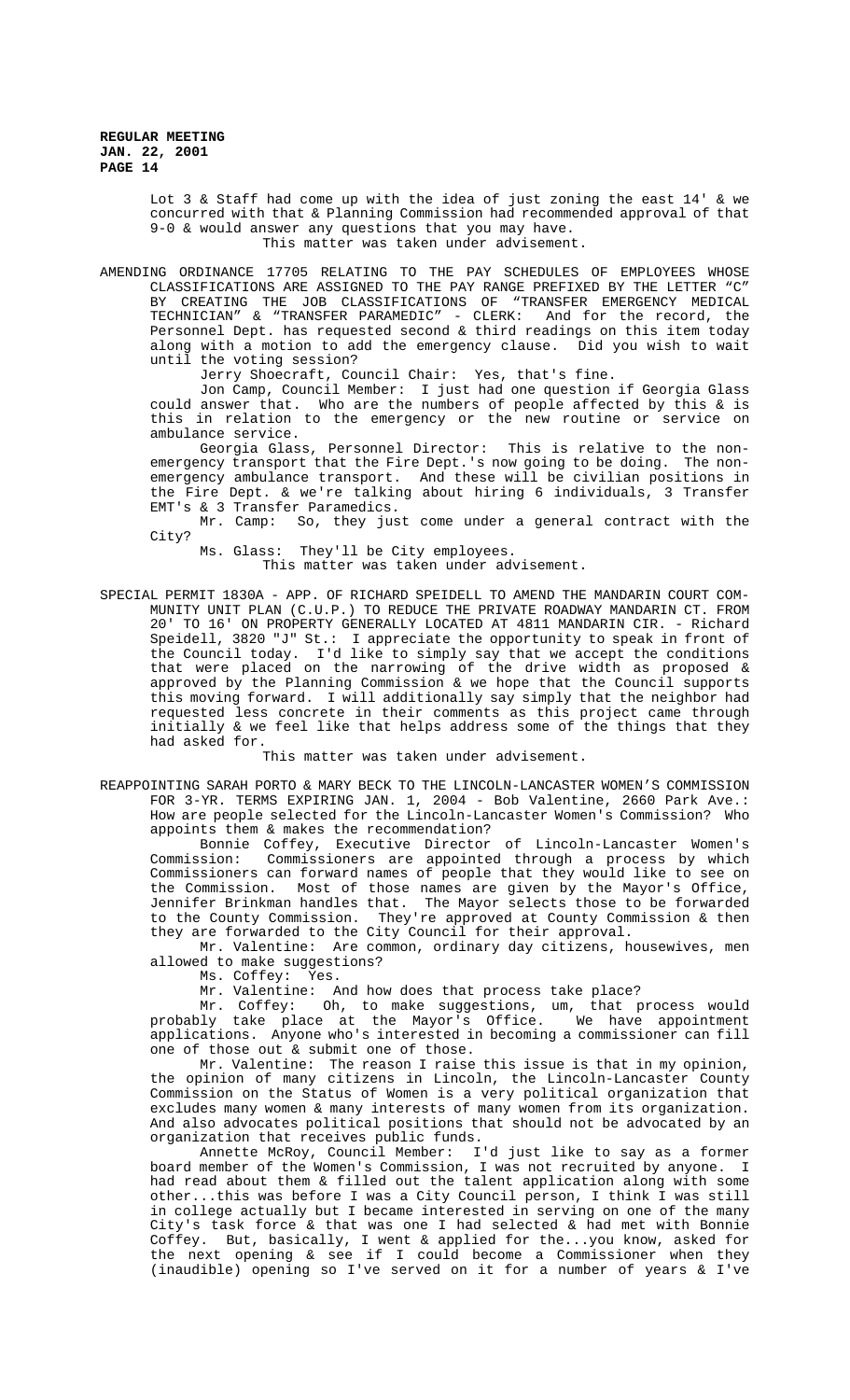> Lot 3 & Staff had come up with the idea of just zoning the east 14' & we concurred with that & Planning Commission had recommended approval of that 9-0 & would answer any questions that you may have. This matter was taken under advisement.

AMENDING ORDINANCE 17705 RELATING TO THE PAY SCHEDULES OF EMPLOYEES WHOSE CLASSIFICATIONS ARE ASSIGNED TO THE PAY RANGE PREFIXED BY THE LETTER "C" BY CREATING THE JOB CLASSIFICATIONS OF "TRANSFER EMERGENCY MEDICAL TECHNICIAN" & "TRANSFER PARAMEDIC" - CLERK: And for the record, the Personnel Dept. has requested second & third readings on this item today along with a motion to add the emergency clause. Did you wish to wait until the voting session?

Jerry Shoecraft, Council Chair: Yes, that's fine.

Jon Camp, Council Member: I just had one question if Georgia Glass could answer that. Who are the numbers of people affected by this & is this in relation to the emergency or the new routine or service on ambulance service.

Georgia Glass, Personnel Director: This is relative to the nonemergency transport that the Fire Dept.'s now going to be doing. The nonemergency ambulance transport. And these will be civilian positions in the Fire Dept. & we're talking about hiring 6 individuals, 3 Transfer EMT's & 3 Transfer Paramedics.

Mr. Camp: So, they just come under a general contract with the City?

Ms. Glass: They'll be City employees. This matter was taken under advisement.

SPECIAL PERMIT 1830A - APP. OF RICHARD SPEIDELL TO AMEND THE MANDARIN COURT COM-MUNITY UNIT PLAN (C.U.P.) TO REDUCE THE PRIVATE ROADWAY MANDARIN CT. FROM 20' TO 16' ON PROPERTY GENERALLY LOCATED AT 4811 MANDARIN CIR. - Richard Speidell, 3820 "J" St.: I appreciate the opportunity to speak in front of the Council today. I'd like to simply say that we accept the conditions that were placed on the narrowing of the drive width as proposed & approved by the Planning Commission & we hope that the Council supports this moving forward. I will additionally say simply that the neighbor had requested less concrete in their comments as this project came through initially & we feel like that helps address some of the things that they had asked for.

This matter was taken under advisement.

REAPPOINTING SARAH PORTO & MARY BECK TO THE LINCOLN-LANCASTER WOMEN'S COMMISSION FOR 3-YR. TERMS EXPIRING JAN. 1, 2004 - Bob Valentine, 2660 Park Ave.: How are people selected for the Lincoln-Lancaster Women's Commission? Who appoints them & makes the recommendation?

Bonnie Coffey, Executive Director of Lincoln-Lancaster Women's Commission: Commissioners are appointed through a process by which Commissioners can forward names of people that they would like to see on the Commission. Most of those names are given by the Mayor's Office, Jennifer Brinkman handles that. The Mayor selects those to be forwarded to the County Commission. They're approved at County Commission & then they are forwarded to the City Council for their approval.

Mr. Valentine: Are common, ordinary day citizens, housewives, men allowed to make suggestions?

Ms. Coffey: Yes.

Mr. Valentine: And how does that process take place?

Mr. Coffey: Oh, to make suggestions, um, that process would probably take place at the Mayor's Office. We have appointment applications. Anyone who's interested in becoming a commissioner can fill one of those out & submit one of those.

Mr. Valentine: The reason I raise this issue is that in my opinion, the opinion of many citizens in Lincoln, the Lincoln-Lancaster County Commission on the Status of Women is a very political organization that excludes many women & many interests of many women from its organization. And also advocates political positions that should not be advocated by an organization that receives public funds.

Annette McRoy, Council Member: I'd just like to say as a former board member of the Women's Commission, I was not recruited by anyone. I had read about them & filled out the talent application along with some other...this was before I was a City Council person, I think I was still in college actually but I became interested in serving on one of the many City's task force & that was one I had selected & had met with Bonnie Coffey. But, basically, I went & applied for the...you know, asked for the next opening & see if I could become a Commissioner when they (inaudible) opening so I've served on it for a number of years & I've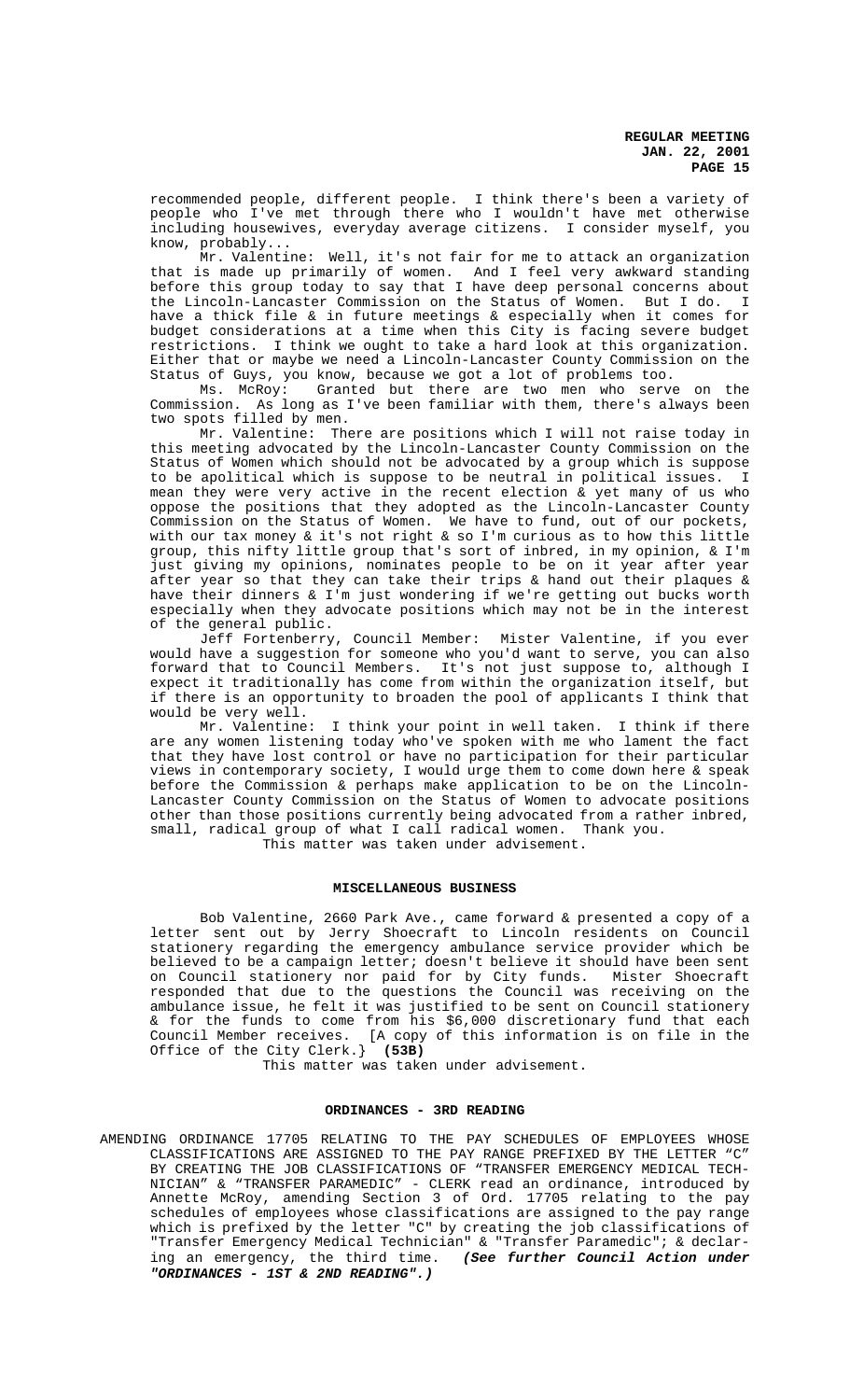recommended people, different people. I think there's been a variety of people who I've met through there who I wouldn't have met otherwise including housewives, everyday average citizens. I consider myself, you know, probably...

Mr. Valentine: Well, it's not fair for me to attack an organization that is made up primarily of women. And I feel very awkward standing before this group today to say that I have deep personal concerns about the Lincoln-Lancaster Commission on the Status of Women. But I do. I have a thick file & in future meetings & especially when it comes for budget considerations at a time when this City is facing severe budget restrictions. I think we ought to take a hard look at this organization. Either that or maybe we need a Lincoln-Lancaster County Commission on the Status of Guys, you know, because we got a lot of problems too.

Ms. McRoy: Granted but there are two men who serve on the Commission. As long as I've been familiar with them, there's always been two spots filled by men.

Mr. Valentine: There are positions which I will not raise today in this meeting advocated by the Lincoln-Lancaster County Commission on the Status of Women which should not be advocated by a group which is suppose to be apolitical which is suppose to be neutral in political issues. I mean they were very active in the recent election & yet many of us who oppose the positions that they adopted as the Lincoln-Lancaster County Commission on the Status of Women. We have to fund, out of our pockets, with our tax money & it's not right & so I'm curious as to how this little group, this nifty little group that's sort of inbred, in my opinion, & I'm just giving my opinions, nominates people to be on it year after year after year so that they can take their trips & hand out their plaques & have their dinners & I'm just wondering if we're getting out bucks worth especially when they advocate positions which may not be in the interest of the general public.

Jeff Fortenberry, Council Member: Mister Valentine, if you ever would have a suggestion for someone who you'd want to serve, you can also forward that to Council Members. It's not just suppose to, although I expect it traditionally has come from within the organization itself, but if there is an opportunity to broaden the pool of applicants I think that

would be very well.<br>Mr. Valentine: I think your point in well taken. I think if there are any women listening today who've spoken with me who lament the fact that they have lost control or have no participation for their particular views in contemporary society, I would urge them to come down here & speak before the Commission & perhaps make application to be on the Lincoln-Lancaster County Commission on the Status of Women to advocate positions other than those positions currently being advocated from a rather inbred, small, radical group of what I call radical women. Thank you. This matter was taken under advisement.

# **MISCELLANEOUS BUSINESS**

Bob Valentine, 2660 Park Ave., came forward & presented a copy of a letter sent out by Jerry Shoecraft to Lincoln residents on Council stationery regarding the emergency ambulance service provider which be believed to be a campaign letter; doesn't believe it should have been sent on Council stationery nor paid for by City funds. Mister Shoecraft responded that due to the questions the Council was receiving on the ambulance issue, he felt it was justified to be sent on Council stationery & for the funds to come from his \$6,000 discretionary fund that each Council Member receives. [A copy of this information is on file in the Office of the City Clerk.} **(53B)**

This matter was taken under advisement.

### **ORDINANCES - 3RD READING**

AMENDING ORDINANCE 17705 RELATING TO THE PAY SCHEDULES OF EMPLOYEES WHOSE CLASSIFICATIONS ARE ASSIGNED TO THE PAY RANGE PREFIXED BY THE LETTER "C" BY CREATING THE JOB CLASSIFICATIONS OF "TRANSFER EMERGENCY MEDICAL TECH-NICIAN" & "TRANSFER PARAMEDIC" - CLERK read an ordinance, introduced by Annette McRoy, amending Section 3 of Ord. 17705 relating to the pay schedules of employees whose classifications are assigned to the pay range which is prefixed by the letter "C" by creating the job classifications of "Transfer Emergency Medical Technician" & "Transfer Paramedic"; & declaring an emergency, the third time. **(See further Council Action under "ORDINANCES - 1ST & 2ND READING".)**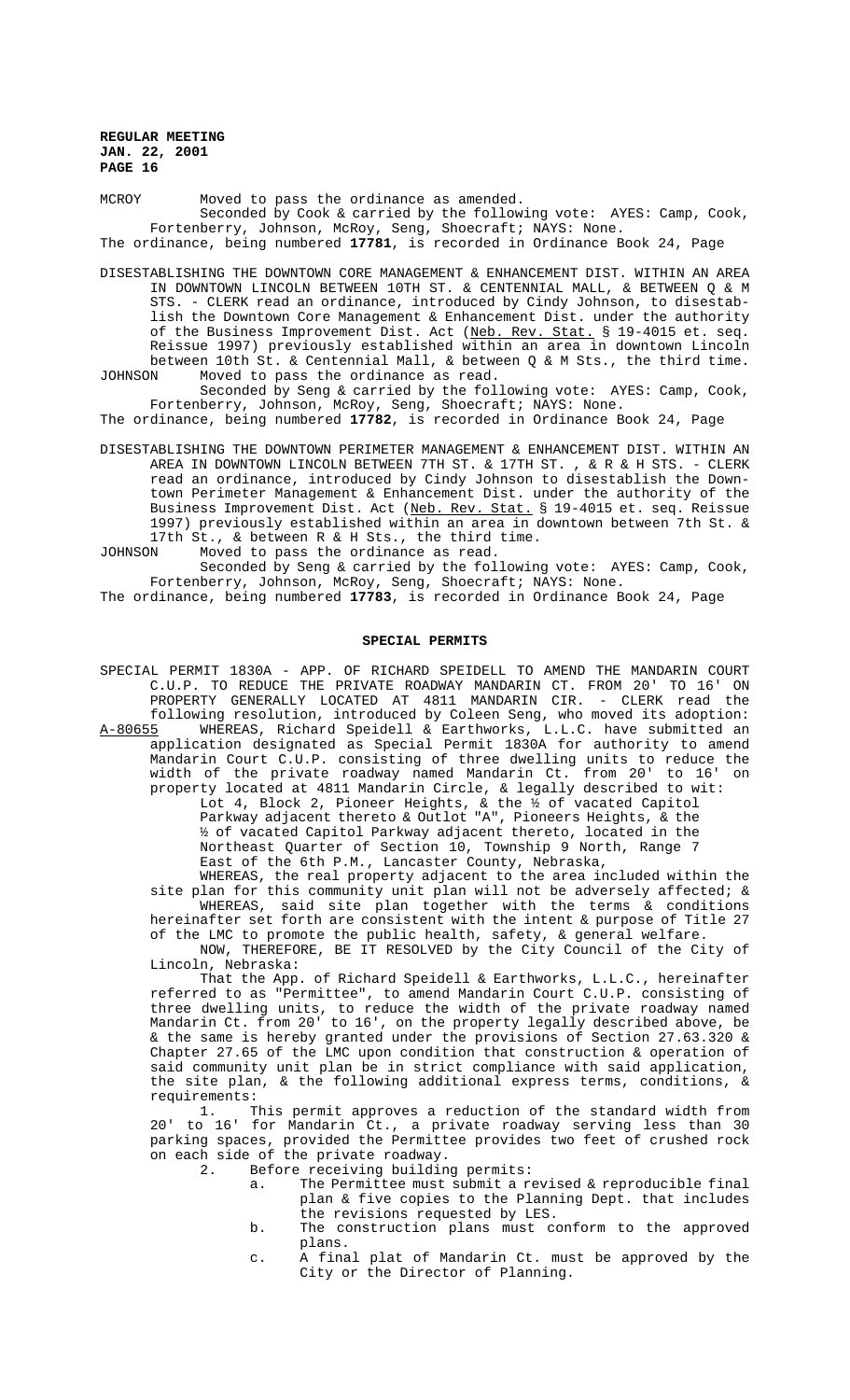MCROY Moved to pass the ordinance as amended.

Seconded by Cook & carried by the following vote: AYES: Camp, Cook, Fortenberry, Johnson, McRoy, Seng, Shoecraft; NAYS: None.

The ordinance, being numbered **17781**, is recorded in Ordinance Book 24, Page

DISESTABLISHING THE DOWNTOWN CORE MANAGEMENT & ENHANCEMENT DIST. WITHIN AN AREA IN DOWNTOWN LINCOLN BETWEEN 10TH ST. & CENTENNIAL MALL, & BETWEEN Q & M STS. - CLERK read an ordinance, introduced by Cindy Johnson, to disestablish the Downtown Core Management & Enhancement Dist. under the authority of the Business Improvement Dist. Act (Neb. Rev. Stat. § 19-4015 et. seq. Reissue 1997) previously established within an area in downtown Lincoln between 10th St. & Centennial Mall, & between Q & M Sts., the third time.

JOHNSON Moved to pass the ordinance as read. Seconded by Seng & carried by the following vote: AYES: Camp, Cook, Fortenberry, Johnson, McRoy, Seng, Shoecraft; NAYS: None.

The ordinance, being numbered **17782**, is recorded in Ordinance Book 24, Page

DISESTABLISHING THE DOWNTOWN PERIMETER MANAGEMENT & ENHANCEMENT DIST. WITHIN AN AREA IN DOWNTOWN LINCOLN BETWEEN 7TH ST. & 17TH ST. , & R & H STS. - CLERK read an ordinance, introduced by Cindy Johnson to disestablish the Downtown Perimeter Management & Enhancement Dist. under the authority of the Business Improvement Dist. Act (<u>Neb. Rev. Stat.</u> § 19-4015 et. seq. Reissue 1997) previously established within an area in downtown between 7th St. & 17th St., & between R & H Sts., the third time.

JOHNSON Moved to pass the ordinance as read.

Seconded by Seng & carried by the following vote: AYES: Camp, Cook, Fortenberry, Johnson, McRoy, Seng, Shoecraft; NAYS: None.

The ordinance, being numbered **17783**, is recorded in Ordinance Book 24, Page

#### **SPECIAL PERMITS**

SPECIAL PERMIT 1830A - APP. OF RICHARD SPEIDELL TO AMEND THE MANDARIN COURT C.U.P. TO REDUCE THE PRIVATE ROADWAY MANDARIN CT. FROM 20' TO 16' ON PROPERTY GENERALLY LOCATED AT 4811 MANDARIN CIR. - CLERK read the following resolution, introduced by Coleen Seng, who moved its adoption: A-80655 MHEREAS, Richard Speidell & Earthworks, L.L.C. have submitted an application designated as Special Permit 1830A for authority to amend Mandarin Court C.U.P. consisting of three dwelling units to reduce the width of the private roadway named Mandarin Ct. from 20' to 16' on property located at 4811 Mandarin Circle, & legally described to wit:

Lot 4, Block 2, Pioneer Heights, & the ½ of vacated Capitol Parkway adjacent thereto & Outlot "A", Pioneers Heights, & the ½ of vacated Capitol Parkway adjacent thereto, located in the Northeast Quarter of Section 10, Township 9 North, Range 7 East of the 6th P.M., Lancaster County, Nebraska,

WHEREAS, the real property adjacent to the area included within the site plan for this community unit plan will not be adversely affected; & WHEREAS, said site plan together with the terms & conditions hereinafter set forth are consistent with the intent & purpose of Title 27 of the LMC to promote the public health, safety, & general welfare.

NOW, THEREFORE, BE IT RESOLVED by the City Council of the City of Lincoln, Nebraska:

That the App. of Richard Speidell & Earthworks, L.L.C., hereinafter referred to as "Permittee", to amend Mandarin Court C.U.P. consisting of three dwelling units, to reduce the width of the private roadway named Mandarin Ct. from 20' to 16', on the property legally described above, be & the same is hereby granted under the provisions of Section 27.63.320 & Chapter 27.65 of the LMC upon condition that construction & operation of said community unit plan be in strict compliance with said application, the site plan, & the following additional express terms, conditions, & requirements:

1. This permit approves a reduction of the standard width from 20' to 16' for Mandarin Ct., a private roadway serving less than 30 parking spaces, provided the Permittee provides two feet of crushed rock on each side of the private roadway.

2. Before receiving building permits:

- a. The Permittee must submit a revised & reproducible final plan & five copies to the Planning Dept. that includes the revisions requested by LES.
- b. The construction plans must conform to the approved plans.
- c. A final plat of Mandarin Ct. must be approved by the City or the Director of Planning.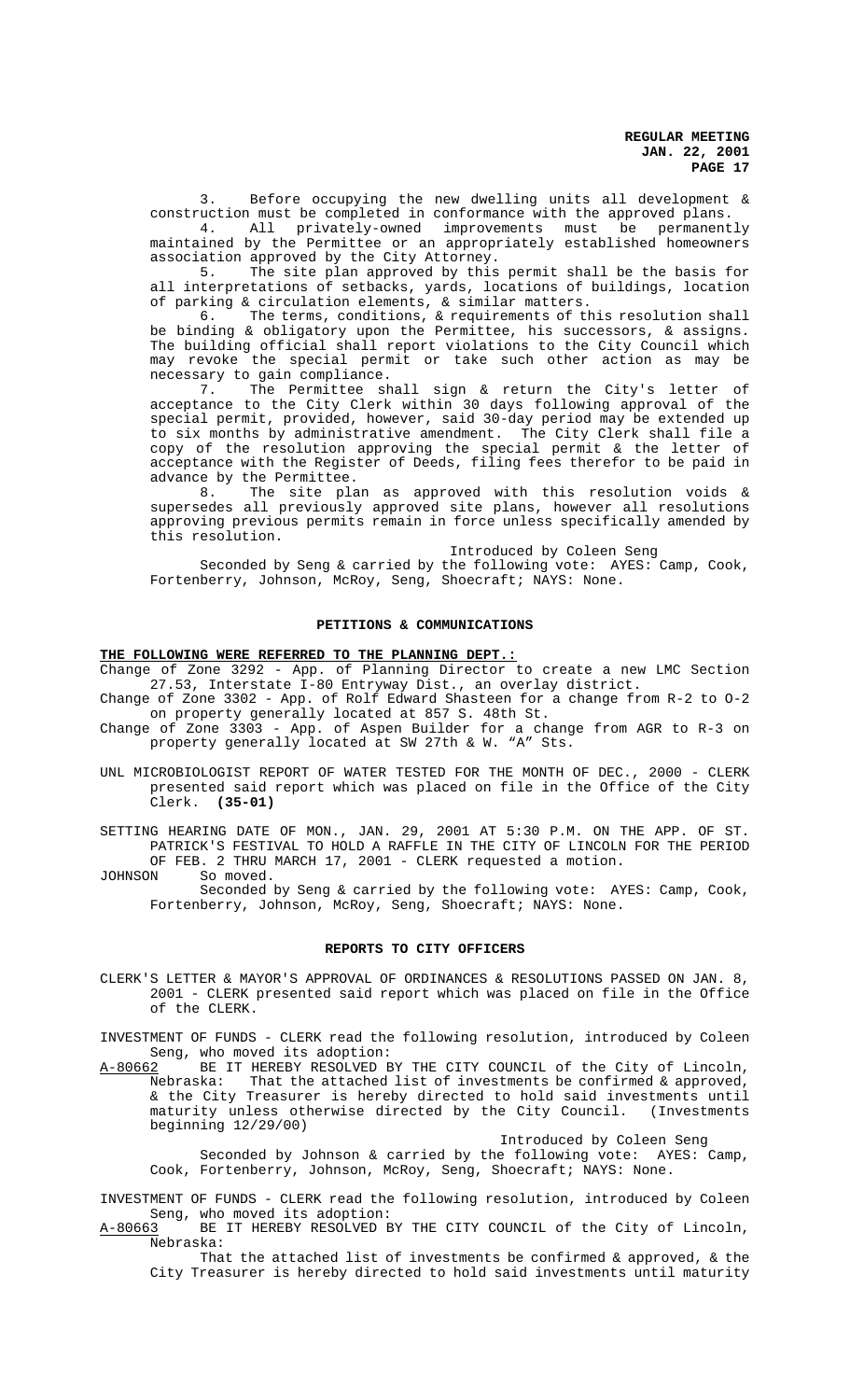3. Before occupying the new dwelling units all development & construction must be completed in conformance with the approved plans.

4. All privately-owned improvements must be permanently maintained by the Permittee or an appropriately established homeowners association approved by the City Attorney.

5. The site plan approved by this permit shall be the basis for all interpretations of setbacks, yards, locations of buildings, location of parking & circulation elements, & similar matters.

6. The terms, conditions, & requirements of this resolution shall be binding & obligatory upon the Permittee, his successors, & assigns. The building official shall report violations to the City Council which may revoke the special permit or take such other action as may be necessary to gain compliance.

7. The Permittee shall sign & return the City's letter of acceptance to the City Clerk within 30 days following approval of the special permit, provided, however, said 30-day period may be extended up to six months by administrative amendment. The City Clerk shall file a copy of the resolution approving the special permit & the letter of acceptance with the Register of Deeds, filing fees therefor to be paid in advance by the Permittee.

8. The site plan as approved with this resolution voids & supersedes all previously approved site plans, however all resolutions approving previous permits remain in force unless specifically amended by this resolution.

Introduced by Coleen Seng

Seconded by Seng & carried by the following vote: AYES: Camp, Cook, Fortenberry, Johnson, McRoy, Seng, Shoecraft; NAYS: None.

# **PETITIONS & COMMUNICATIONS**

# **THE FOLLOWING WERE REFERRED TO THE PLANNING DEPT.:**

Change of Zone 3292 - App. of Planning Director to create a new LMC Section 27.53, Interstate I-80 Entryway Dist., an overlay district.

Change of Zone 3302 - App. of Rolf Edward Shasteen for a change from R-2 to O-2 on property generally located at 857 S. 48th St.

- Change of Zone 3303 App. of Aspen Builder for a change from AGR to R-3 on property generally located at SW 27th & W. "A" Sts.
- UNL MICROBIOLOGIST REPORT OF WATER TESTED FOR THE MONTH OF DEC., 2000 CLERK presented said report which was placed on file in the Office of the City Clerk. **(35-01)**

SETTING HEARING DATE OF MON., JAN. 29, 2001 AT 5:30 P.M. ON THE APP. OF ST. PATRICK'S FESTIVAL TO HOLD A RAFFLE IN THE CITY OF LINCOLN FOR THE PERIOD OF FEB. 2 THRU MARCH 17, 2001 - CLERK requested a motion.<br>JOHNSON So moved.

So moved. Seconded by Seng & carried by the following vote: AYES: Camp, Cook, Fortenberry, Johnson, McRoy, Seng, Shoecraft; NAYS: None.

### **REPORTS TO CITY OFFICERS**

CLERK'S LETTER & MAYOR'S APPROVAL OF ORDINANCES & RESOLUTIONS PASSED ON JAN. 8, 2001 - CLERK presented said report which was placed on file in the Office of the CLERK.

INVESTMENT OF FUNDS - CLERK read the following resolution, introduced by Coleen Seng, who moved its adoption:

A-80662 BE IT HEREBY RESOLVED BY THE CITY COUNCIL of the City of Lincoln, Nebraska: That the attached list of investments be confirmed & approved, & the City Treasurer is hereby directed to hold said investments until maturity unless otherwise directed by the City Council. (Investments beginning 12/29/00)

Introduced by Coleen Seng

Seconded by Johnson & carried by the following vote: AYES: Camp, Cook, Fortenberry, Johnson, McRoy, Seng, Shoecraft; NAYS: None.

INVESTMENT OF FUNDS - CLERK read the following resolution, introduced by Coleen Seng, who moved its adoption:

A-80663 BE IT HEREBY RESOLVED BY THE CITY COUNCIL of the City of Lincoln, Nebraska:

That the attached list of investments be confirmed & approved, & the City Treasurer is hereby directed to hold said investments until maturity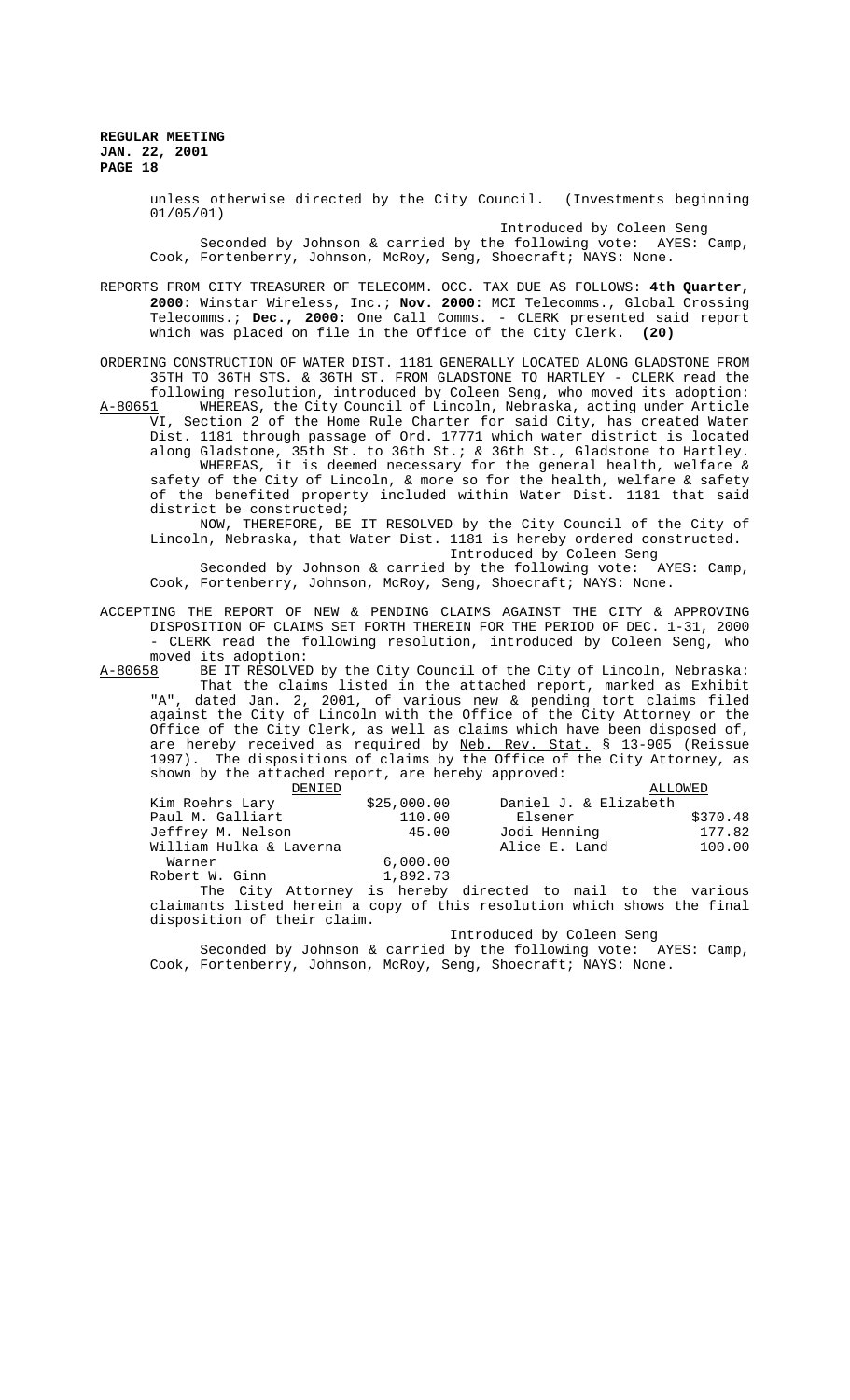> unless otherwise directed by the City Council. (Investments beginning 01/05/01)

> Introduced by Coleen Seng Seconded by Johnson & carried by the following vote: AYES: Camp, Cook, Fortenberry, Johnson, McRoy, Seng, Shoecraft; NAYS: None.

REPORTS FROM CITY TREASURER OF TELECOMM. OCC. TAX DUE AS FOLLOWS: **4th Quarter, 2000:** Winstar Wireless, Inc.; **Nov. 2000:** MCI Telecomms., Global Crossing Telecomms.; **Dec., 2000:** One Call Comms. - CLERK presented said report which was placed on file in the Office of the City Clerk. **(20)**

ORDERING CONSTRUCTION OF WATER DIST. 1181 GENERALLY LOCATED ALONG GLADSTONE FROM 35TH TO 36TH STS. & 36TH ST. FROM GLADSTONE TO HARTLEY - CLERK read the following resolution, introduced by Coleen Seng, who moved its adoption:<br>A-80651 WHEREAS, the City Council of Lincoln, Nebraska, acting under Article WHEREAS, the City Council of Lincoln, Nebraska, acting under Article VI, Section 2 of the Home Rule Charter for said City, has created Water Dist. 1181 through passage of Ord. 17771 which water district is located along Gladstone, 35th St. to 36th St.; & 36th St., Gladstone to Hartley. WHEREAS, it is deemed necessary for the general health, welfare  $\&$ safety of the City of Lincoln, & more so for the health, welfare & safety of the benefited property included within Water Dist. 1181 that said district be constructed;

NOW, THEREFORE, BE IT RESOLVED by the City Council of the City of Lincoln, Nebraska, that Water Dist. 1181 is hereby ordered constructed. Introduced by Coleen Seng

Seconded by Johnson & carried by the following vote: AYES: Camp, Cook, Fortenberry, Johnson, McRoy, Seng, Shoecraft; NAYS: None.

ACCEPTING THE REPORT OF NEW & PENDING CLAIMS AGAINST THE CITY & APPROVING DISPOSITION OF CLAIMS SET FORTH THEREIN FOR THE PERIOD OF DEC. 1-31, 2000 - CLERK read the following resolution, introduced by Coleen Seng, who moved its adoption:

A-80658 BE IT RESOLVED by the City Council of the City of Lincoln, Nebraska: That the claims listed in the attached report, marked as Exhibit "A", dated Jan. 2, 2001, of various new & pending tort claims filed against the City of Lincoln with the Office of the City Attorney or the Office of the City Clerk, as well as claims which have been disposed of, are hereby received as required by Neb. Rev. Stat. § 13-905 (Reissue 1997). The dispositions of claims by the Office of the City Attorney, as shown by the attached report, are hereby approved:

| DENTED                  |             | ALLOWED               |          |
|-------------------------|-------------|-----------------------|----------|
| Kim Roehrs Lary         | \$25,000.00 | Daniel J. & Elizabeth |          |
| Paul M. Galliart        | 110.00      | Elsener               | \$370.48 |
| Jeffrey M. Nelson       | 45.00       | Jodi Henning          | 177.82   |
| William Hulka & Laverna |             | Alice E. Land         | 100.00   |
| Warner                  | 6,000.00    |                       |          |
| Robert W. Ginn          | 1,892.73    |                       |          |

The City Attorney is hereby directed to mail to the various claimants listed herein a copy of this resolution which shows the final disposition of their claim.

Introduced by Coleen Seng

Seconded by Johnson & carried by the following vote: AYES: Camp, Cook, Fortenberry, Johnson, McRoy, Seng, Shoecraft; NAYS: None.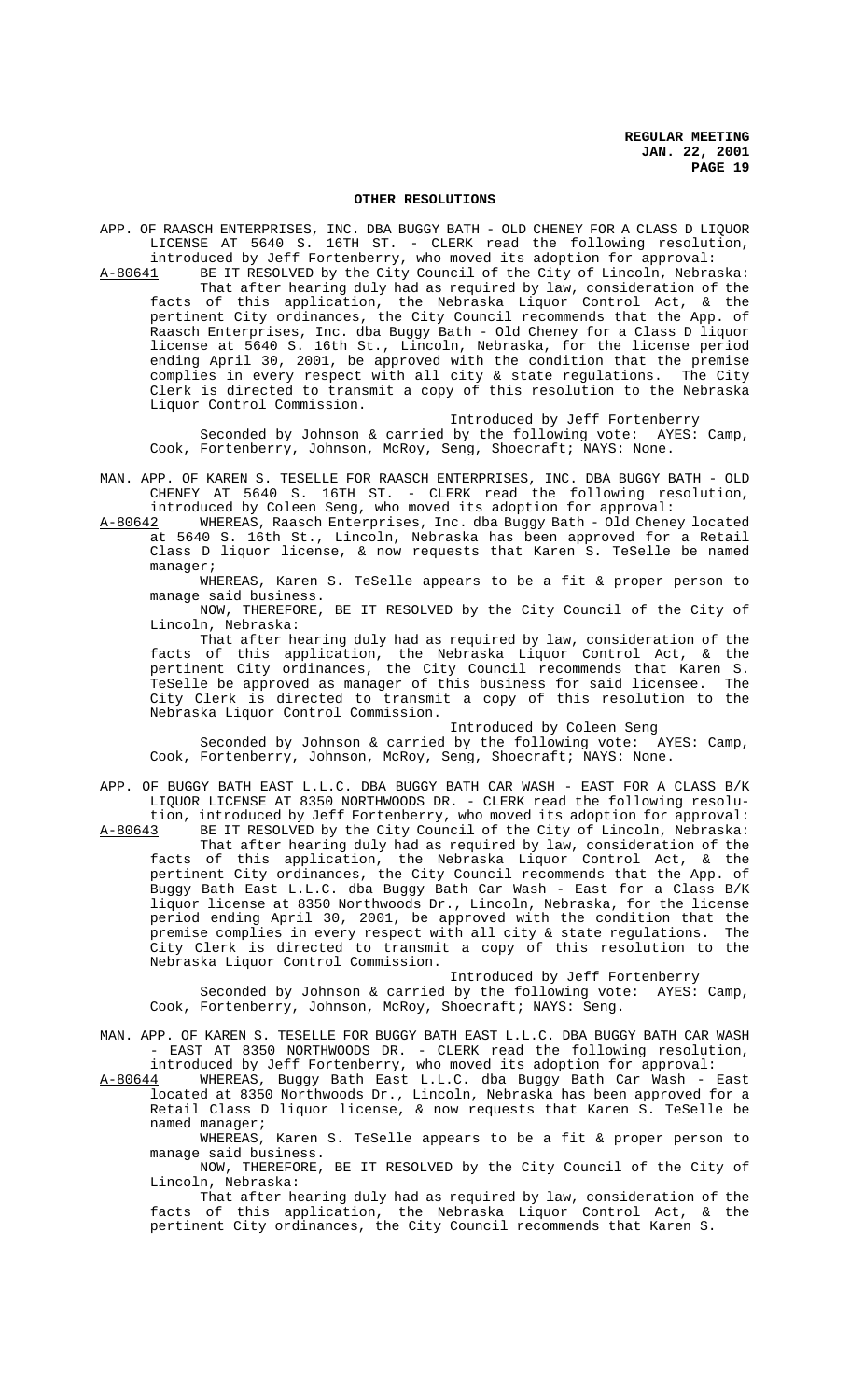## **OTHER RESOLUTIONS**

APP. OF RAASCH ENTERPRISES, INC. DBA BUGGY BATH - OLD CHENEY FOR A CLASS D LIQUOR LICENSE AT 5640 S. 16TH ST. - CLERK read the following resolution, introduced by Jeff Fortenberry, who moved its adoption for approval:

A-80641 BE IT RESOLVED by the City Council of the City of Lincoln, Nebraska: That after hearing duly had as required by law, consideration of the facts of this application, the Nebraska Liquor Control Act, & the pertinent City ordinances, the City Council recommends that the App. of Raasch Enterprises, Inc. dba Buggy Bath - Old Cheney for a Class D liquor license at 5640 S. 16th St., Lincoln, Nebraska, for the license period ending April 30, 2001, be approved with the condition that the premise complies in every respect with all city & state regulations. The City Clerk is directed to transmit a copy of this resolution to the Nebraska Liquor Control Commission.

Introduced by Jeff Fortenberry

Seconded by Johnson & carried by the following vote: AYES: Camp, Cook, Fortenberry, Johnson, McRoy, Seng, Shoecraft; NAYS: None.

- MAN. APP. OF KAREN S. TESELLE FOR RAASCH ENTERPRISES, INC. DBA BUGGY BATH OLD CHENEY AT 5640 S. 16TH ST. - CLERK read the following resolution, introduced by Coleen Seng, who moved its adoption for approval:
- A-80642 WHEREAS, Raasch Enterprises, Inc. dba Buggy Bath Old Cheney located at 5640 S. 16th St., Lincoln, Nebraska has been approved for a Retail

Class D liquor license, & now requests that Karen S. TeSelle be named manager; WHEREAS, Karen S. TeSelle appears to be a fit & proper person to

manage said business. NOW, THEREFORE, BE IT RESOLVED by the City Council of the City of

Lincoln, Nebraska:

That after hearing duly had as required by law, consideration of the facts of this application, the Nebraska Liquor Control Act, & the pertinent City ordinances, the City Council recommends that Karen S. TeSelle be approved as manager of this business for said licensee. The City Clerk is directed to transmit a copy of this resolution to the Nebraska Liquor Control Commission.

Introduced by Coleen Seng

Seconded by Johnson & carried by the following vote: AYES: Camp, Cook, Fortenberry, Johnson, McRoy, Seng, Shoecraft; NAYS: None.

APP. OF BUGGY BATH EAST L.L.C. DBA BUGGY BATH CAR WASH - EAST FOR A CLASS B/K LIQUOR LICENSE AT 8350 NORTHWOODS DR. - CLERK read the following resolu-

tion, introduced by Jeff Fortenberry, who moved its adoption for approval:<br>A-80643 BE IT RESOLVED by the City Council of the City of Lincoln, Nebraska: BE IT RESOLVED by the City Council of the City of Lincoln, Nebraska: That after hearing duly had as required by law, consideration of the facts of this application, the Nebraska Liquor Control Act, & the pertinent City ordinances, the City Council recommends that the App. of Buggy Bath East L.L.C. dba Buggy Bath Car Wash - East for a Class B/K liquor license at 8350 Northwoods Dr., Lincoln, Nebraska, for the license period ending April 30, 2001, be approved with the condition that the premise complies in every respect with all city & state regulations. The City Clerk is directed to transmit a copy of this resolution to the Nebraska Liquor Control Commission.

Introduced by Jeff Fortenberry

Seconded by Johnson & carried by the following vote: AYES: Camp, Cook, Fortenberry, Johnson, McRoy, Shoecraft; NAYS: Seng.

MAN. APP. OF KAREN S. TESELLE FOR BUGGY BATH EAST L.L.C. DBA BUGGY BATH CAR WASH - EAST AT 8350 NORTHWOODS DR. - CLERK read the following resolution, introduced by Jeff Fortenberry, who moved its adoption for approval:

A-80644 WHEREAS, Buggy Bath East L.L.C. dba Buggy Bath Car Wash - East A-80644 WHEREAS, Buggy Bath East L.L.C. dba Buggy Bath Car Wash - East<br>located at 8350 Northwoods Dr., Lincoln, Nebraska has been approved for a Retail Class D liquor license, & now requests that Karen S. TeSelle be named manager;

WHEREAS, Karen S. TeSelle appears to be a fit & proper person to manage said business.

NOW, THEREFORE, BE IT RESOLVED by the City Council of the City of Lincoln, Nebraska:

That after hearing duly had as required by law, consideration of the facts of this application, the Nebraska Liquor Control Act, & the pertinent City ordinances, the City Council recommends that Karen S.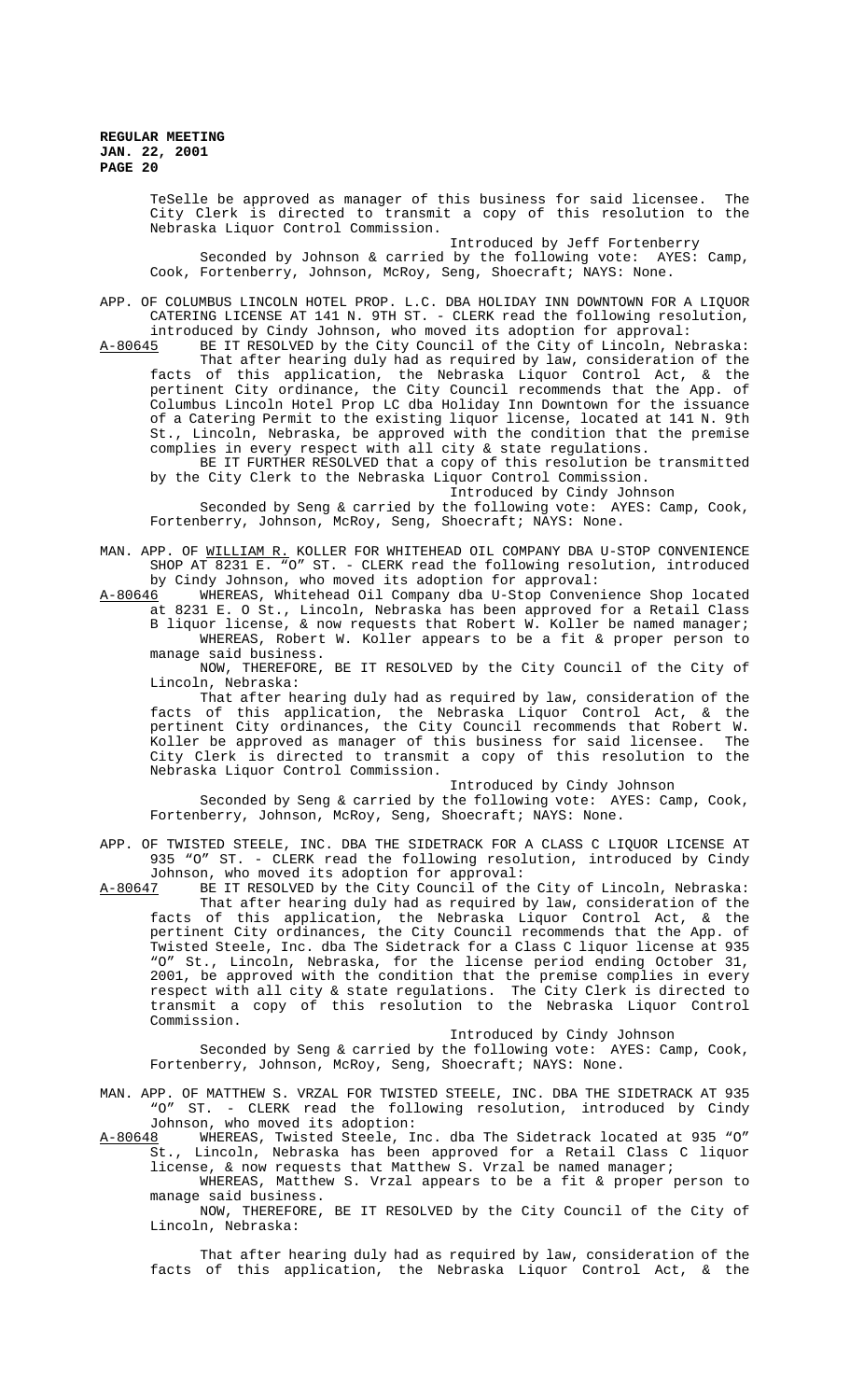TeSelle be approved as manager of this business for said licensee. The City Clerk is directed to transmit a copy of this resolution to the Nebraska Liquor Control Commission.

Introduced by Jeff Fortenberry Seconded by Johnson & carried by the following vote: AYES: Camp, Cook, Fortenberry, Johnson, McRoy, Seng, Shoecraft; NAYS: None.

APP. OF COLUMBUS LINCOLN HOTEL PROP. L.C. DBA HOLIDAY INN DOWNTOWN FOR A LIQUOR CATERING LICENSE AT 141 N. 9TH ST. - CLERK read the following resolution,

introduced by Cindy Johnson, who moved its adoption for approval:<br>A-80645 BE IT RESOLVED by the City Council of the City of Lincoln, Ne BE IT RESOLVED by the City Council of the City of Lincoln, Nebraska: That after hearing duly had as required by law, consideration of the facts of this application, the Nebraska Liquor Control Act, & the pertinent City ordinance, the City Council recommends that the App. of Columbus Lincoln Hotel Prop LC dba Holiday Inn Downtown for the issuance of a Catering Permit to the existing liquor license, located at 141 N. 9th St., Lincoln, Nebraska, be approved with the condition that the premise complies in every respect with all city & state regulations.

BE IT FURTHER RESOLVED that a copy of this resolution be transmitted by the City Clerk to the Nebraska Liquor Control Commission.

Introduced by Cindy Johnson

Seconded by Seng & carried by the following vote: AYES: Camp, Cook, Fortenberry, Johnson, McRoy, Seng, Shoecraft; NAYS: None.

MAN. APP. OF <u>WILLIAM R.</u> KOLLER FOR WHITEHEAD OIL COMPANY DBA U-STOP CONVENIENCE SHOP AT 8231 E. "O" ST. - CLERK read the following resolution, introduced by Cindy Johnson, who moved its adoption for approval:

A-80646 WHEREAS, Whitehead Oil Company dba U-Stop Convenience Shop located at 8231 E. O St., Lincoln, Nebraska has been approved for a Retail Class B liquor license, & now requests that Robert W. Koller be named manager; WHEREAS, Robert W. Koller appears to be a fit & proper person to manage said business.

NOW, THEREFORE, BE IT RESOLVED by the City Council of the City of Lincoln, Nebraska:

That after hearing duly had as required by law, consideration of the facts of this application, the Nebraska Liquor Control Act, & the pertinent City ordinances, the City Council recommends that Robert W. Koller be approved as manager of this business for said licensee. The City Clerk is directed to transmit a copy of this resolution to the Nebraska Liquor Control Commission.

Introduced by Cindy Johnson

Seconded by Seng & carried by the following vote: AYES: Camp, Cook, Fortenberry, Johnson, McRoy, Seng, Shoecraft; NAYS: None.

APP. OF TWISTED STEELE, INC. DBA THE SIDETRACK FOR A CLASS C LIQUOR LICENSE AT 935 "O" ST. - CLERK read the following resolution, introduced by Cindy Johnson, who moved its adoption for approval:<br>A-80647 BE IT RESOLVED by the City Council of the

BE IT RESOLVED by the City Council of the City of Lincoln, Nebraska: That after hearing duly had as required by law, consideration of the facts of this application, the Nebraska Liquor Control Act, & the pertinent City ordinances, the City Council recommends that the App. of Twisted Steele, Inc. dba The Sidetrack for a Class C liquor license at 935 "O" St., Lincoln, Nebraska, for the license period ending October 31, 2001, be approved with the condition that the premise complies in every respect with all city & state regulations. The City Clerk is directed to transmit a copy of this resolution to the Nebraska Liquor Control Commission.

Introduced by Cindy Johnson

Seconded by Seng & carried by the following vote: AYES: Camp, Cook, Fortenberry, Johnson, McRoy, Seng, Shoecraft; NAYS: None.

MAN. APP. OF MATTHEW S. VRZAL FOR TWISTED STEELE, INC. DBA THE SIDETRACK AT 935 "O" ST. - CLERK read the following resolution, introduced by Cindy Johnson, who moved its adoption:

A-80648 WHEREAS, Twisted Steele, Inc. dba The Sidetrack located at 935 "O" St., Lincoln, Nebraska has been approved for a Retail Class C liquor license, & now requests that Matthew S. Vrzal be named manager;

WHEREAS, Matthew S. Vrzal appears to be a fit & proper person to manage said business.

NOW, THEREFORE, BE IT RESOLVED by the City Council of the City of Lincoln, Nebraska:

That after hearing duly had as required by law, consideration of the facts of this application, the Nebraska Liquor Control Act, & the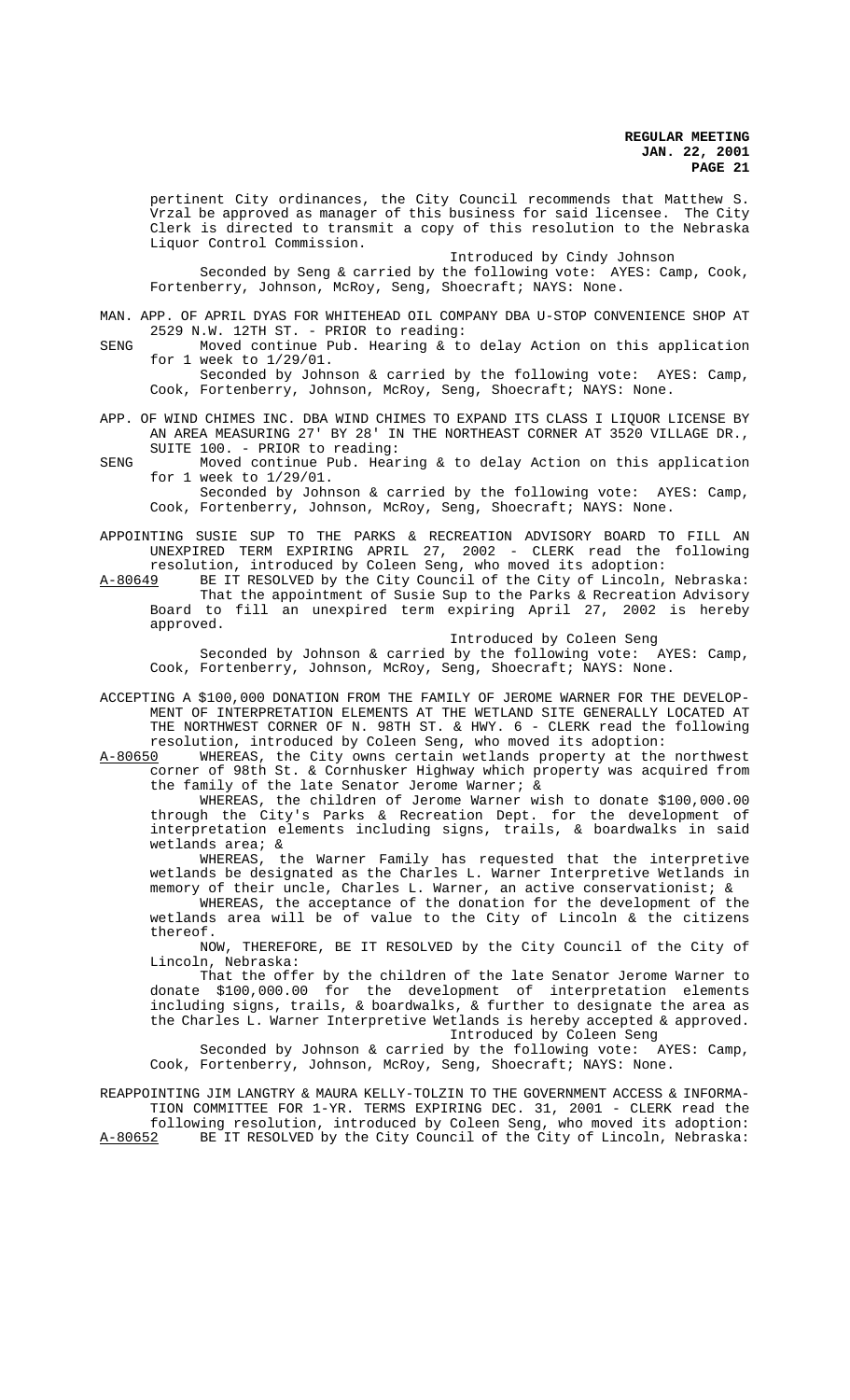pertinent City ordinances, the City Council recommends that Matthew S. Vrzal be approved as manager of this business for said licensee. The City Clerk is directed to transmit a copy of this resolution to the Nebraska Liquor Control Commission.

Introduced by Cindy Johnson

Seconded by Seng & carried by the following vote: AYES: Camp, Cook, Fortenberry, Johnson, McRoy, Seng, Shoecraft; NAYS: None.

MAN. APP. OF APRIL DYAS FOR WHITEHEAD OIL COMPANY DBA U-STOP CONVENIENCE SHOP AT 2529 N.W. 12TH ST. - PRIOR to reading:

SENG Moved continue Pub. Hearing & to delay Action on this application for 1 week to 1/29/01.

Seconded by Johnson & carried by the following vote: AYES: Camp, Cook, Fortenberry, Johnson, McRoy, Seng, Shoecraft; NAYS: None.

- APP. OF WIND CHIMES INC. DBA WIND CHIMES TO EXPAND ITS CLASS I LIQUOR LICENSE BY AN AREA MEASURING 27' BY 28' IN THE NORTHEAST CORNER AT 3520 VILLAGE DR., SUITE 100. - PRIOR to reading:
- SENG Moved continue Pub. Hearing & to delay Action on this application for 1 week to 1/29/01.

Seconded by Johnson & carried by the following vote: AYES: Camp, Cook, Fortenberry, Johnson, McRoy, Seng, Shoecraft; NAYS: None.

APPOINTING SUSIE SUP TO THE PARKS & RECREATION ADVISORY BOARD TO FILL AN UNEXPIRED TERM EXPIRING APRIL 27, 2002 - CLERK read the following resolution, introduced by Coleen Seng, who moved its adoption:

A-80649 BE IT RESOLVED by the City Council of the City of Lincoln, Nebraska: That the appointment of Susie Sup to the Parks & Recreation Advisory Board to fill an unexpired term expiring April 27, 2002 is hereby approved.

Introduced by Coleen Seng

Seconded by Johnson & carried by the following vote: AYES: Camp, Cook, Fortenberry, Johnson, McRoy, Seng, Shoecraft; NAYS: None.

- ACCEPTING A \$100,000 DONATION FROM THE FAMILY OF JEROME WARNER FOR THE DEVELOP-MENT OF INTERPRETATION ELEMENTS AT THE WETLAND SITE GENERALLY LOCATED AT THE NORTHWEST CORNER OF N. 98TH ST. & HWY. 6 - CLERK read the following resolution, introduced by Coleen Seng, who moved its adoption:<br>A-80650 WHEREAS, the City owns certain wetlands property at the
- WHEREAS, the City owns certain wetlands property at the northwest corner of 98th St. & Cornhusker Highway which property was acquired from the family of the late Senator Jerome Warner; &

WHEREAS, the children of Jerome Warner wish to donate \$100,000.00 through the City's Parks & Recreation Dept. for the development of interpretation elements including signs, trails, & boardwalks in said wetlands area; &

WHEREAS, the Warner Family has requested that the interpretive wetlands be designated as the Charles L. Warner Interpretive Wetlands in memory of their uncle, Charles L. Warner, an active conservationist; &

WHEREAS, the acceptance of the donation for the development of the wetlands area will be of value to the City of Lincoln & the citizens thereof.

NOW, THEREFORE, BE IT RESOLVED by the City Council of the City of Lincoln, Nebraska:

That the offer by the children of the late Senator Jerome Warner to donate \$100,000.00 for the development of interpretation elements including signs, trails, & boardwalks, & further to designate the area as the Charles L. Warner Interpretive Wetlands is hereby accepted & approved. Introduced by Coleen Seng

Seconded by Johnson & carried by the following vote: AYES: Camp, Cook, Fortenberry, Johnson, McRoy, Seng, Shoecraft; NAYS: None.

REAPPOINTING JIM LANGTRY & MAURA KELLY-TOLZIN TO THE GOVERNMENT ACCESS & INFORMA-TION COMMITTEE FOR 1-YR. TERMS EXPIRING DEC. 31, 2001 - CLERK read the following resolution, introduced by Coleen Seng, who moved its adoption: A-80652 BE IT RESOLVED by the City Council of the City of Lincoln, Nebraska: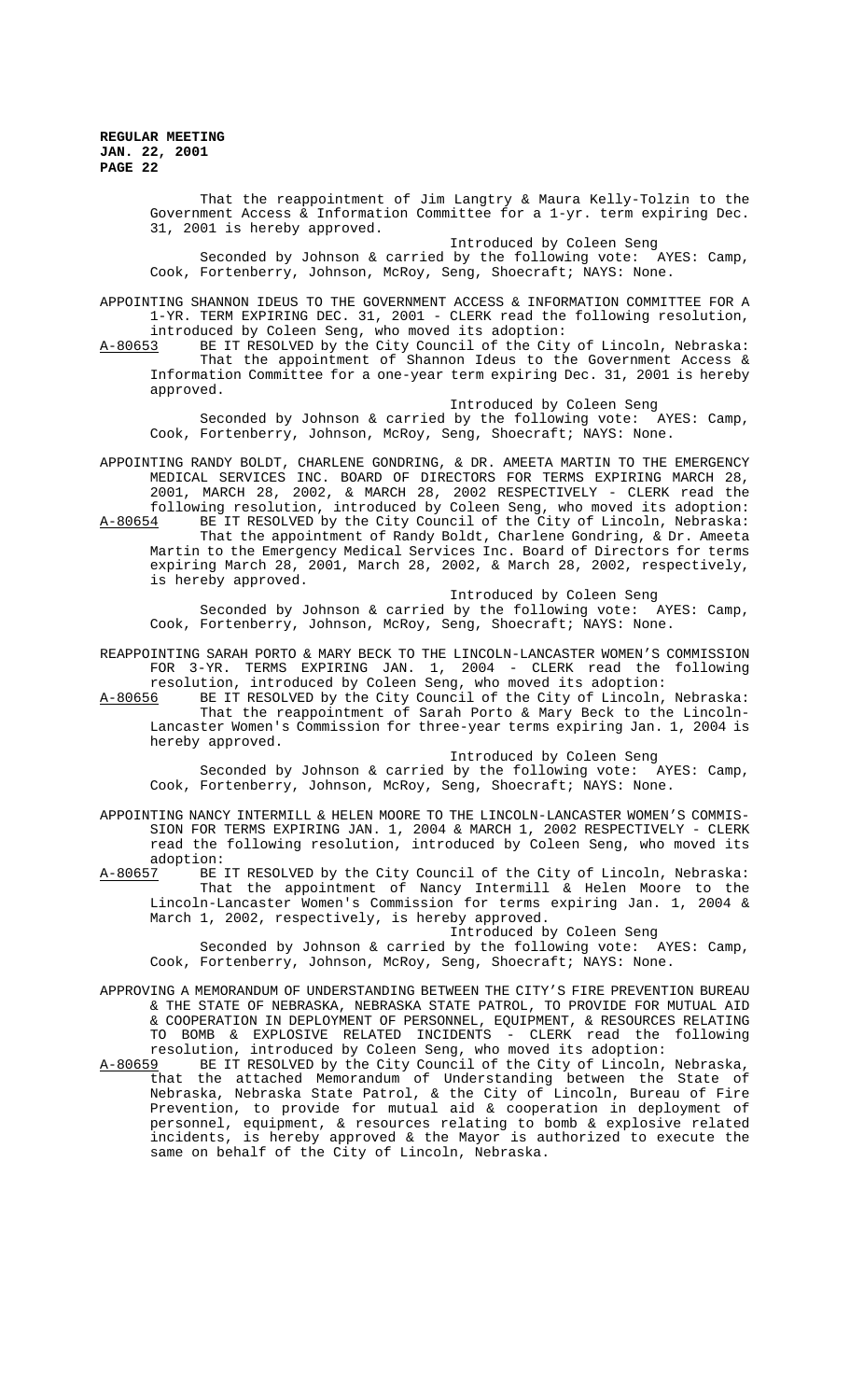> That the reappointment of Jim Langtry & Maura Kelly-Tolzin to the Government Access & Information Committee for a 1-yr. term expiring Dec. 31, 2001 is hereby approved.

Introduced by Coleen Seng

Seconded by Johnson & carried by the following vote: AYES: Camp, Cook, Fortenberry, Johnson, McRoy, Seng, Shoecraft; NAYS: None.

APPOINTING SHANNON IDEUS TO THE GOVERNMENT ACCESS & INFORMATION COMMITTEE FOR A 1-YR. TERM EXPIRING DEC. 31, 2001 - CLERK read the following resolution,

introduced by Coleen Seng, who moved its adoption:<br>A-80653 BE IT RESOLVED by the City Council of the City BE IT RESOLVED by the City Council of the City of Lincoln, Nebraska: That the appointment of Shannon Ideus to the Government Access & Information Committee for a one-year term expiring Dec. 31, 2001 is hereby approved.

Introduced by Coleen Seng

Seconded by Johnson & carried by the following vote: AYES: Camp, Cook, Fortenberry, Johnson, McRoy, Seng, Shoecraft; NAYS: None.

APPOINTING RANDY BOLDT, CHARLENE GONDRING, & DR. AMEETA MARTIN TO THE EMERGENCY MEDICAL SERVICES INC. BOARD OF DIRECTORS FOR TERMS EXPIRING MARCH 28, 2001, MARCH 28, 2002, & MARCH 28, 2002 RESPECTIVELY - CLERK read the following resolution, introduced by Coleen Seng, who moved its adoption: A-80654 BE IT RESOLVED by the City Council of the City of Lincoln, Nebraska:

That the appointment of Randy Boldt, Charlene Gondring, & Dr. Ameeta Martin to the Emergency Medical Services Inc. Board of Directors for terms expiring March 28, 2001, March 28, 2002, & March 28, 2002, respectively, is hereby approved.

Introduced by Coleen Seng

Seconded by Johnson & carried by the following vote: AYES: Camp, Cook, Fortenberry, Johnson, McRoy, Seng, Shoecraft; NAYS: None.

REAPPOINTING SARAH PORTO & MARY BECK TO THE LINCOLN-LANCASTER WOMEN'S COMMISSION FOR 3-YR. TERMS EXPIRING JAN. 1, 2004 - CLERK read the following resolution, introduced by Coleen Seng, who moved its adoption:

A-80656 BE IT RESOLVED by the City Council of the City of Lincoln, Nebraska: That the reappointment of Sarah Porto & Mary Beck to the Lincoln-Lancaster Women's Commission for three-year terms expiring Jan. 1, 2004 is hereby approved.

Introduced by Coleen Seng

Seconded by Johnson & carried by the following vote:  $AYES:$  Camp, Cook, Fortenberry, Johnson, McRoy, Seng, Shoecraft; NAYS: None.

APPOINTING NANCY INTERMILL & HELEN MOORE TO THE LINCOLN-LANCASTER WOMEN'S COMMIS-SION FOR TERMS EXPIRING JAN. 1, 2004 & MARCH 1, 2002 RESPECTIVELY - CLERK read the following resolution, introduced by Coleen Seng, who moved its adoption:

A-80657 BE IT RESOLVED by the City Council of the City of Lincoln, Nebraska: That the appointment of Nancy Intermill & Helen Moore to the Lincoln-Lancaster Women's Commission for terms expiring Jan. 1, 2004 & March 1, 2002, respectively, is hereby approved.

Introduced by Coleen Seng

Seconded by Johnson & carried by the following vote: AYES: Camp, Cook, Fortenberry, Johnson, McRoy, Seng, Shoecraft; NAYS: None.

- APPROVING A MEMORANDUM OF UNDERSTANDING BETWEEN THE CITY'S FIRE PREVENTION BUREAU & THE STATE OF NEBRASKA, NEBRASKA STATE PATROL, TO PROVIDE FOR MUTUAL AID & COOPERATION IN DEPLOYMENT OF PERSONNEL, EQUIPMENT, & RESOURCES RELATING TO BOMB & EXPLOSIVE RELATED INCIDENTS - CLERK read the following resolution, introduced by Coleen Seng, who moved its adoption:<br>A-80659 BE IT RESOLVED by the City Council of the City of Lincoln,
- A-80659 BE IT RESOLVED by the City Council of the City of Lincoln, Nebraska, that the attached Memorandum of Understanding between the State of Nebraska, Nebraska State Patrol, & the City of Lincoln, Bureau of Fire Prevention, to provide for mutual aid & cooperation in deployment of personnel, equipment, & resources relating to bomb & explosive related incidents, is hereby approved & the Mayor is authorized to execute the same on behalf of the City of Lincoln, Nebraska.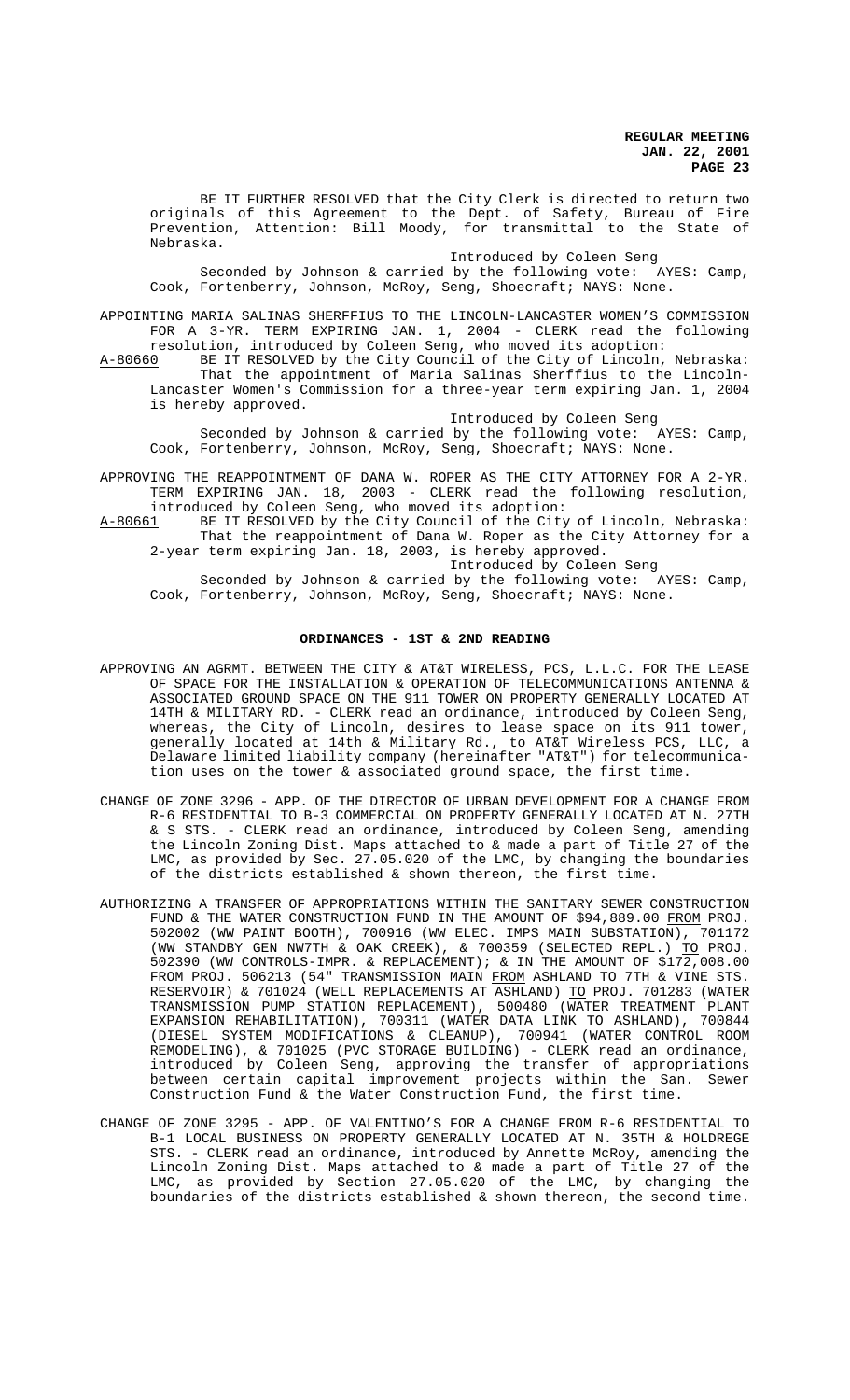BE IT FURTHER RESOLVED that the City Clerk is directed to return two originals of this Agreement to the Dept. of Safety, Bureau of Fire Prevention, Attention: Bill Moody, for transmittal to the State of Nebraska.

Introduced by Coleen Seng

Seconded by Johnson & carried by the following vote: AYES: Camp, Cook, Fortenberry, Johnson, McRoy, Seng, Shoecraft; NAYS: None.

APPOINTING MARIA SALINAS SHERFFIUS TO THE LINCOLN-LANCASTER WOMEN'S COMMISSION FOR A 3-YR. TERM EXPIRING JAN. 1, 2004 - CLERK read the following resolution, introduced by Coleen Seng, who moved its adoption:

A-80660 BE IT RESOLVED by the City Council of the City of Lincoln, Nebraska: That the appointment of Maria Salinas Sherffius to the Lincoln-Lancaster Women's Commission for a three-year term expiring Jan. 1, 2004 is hereby approved.

Introduced by Coleen Seng

Seconded by Johnson & carried by the following vote: AYES: Camp, Cook, Fortenberry, Johnson, McRoy, Seng, Shoecraft; NAYS: None.

APPROVING THE REAPPOINTMENT OF DANA W. ROPER AS THE CITY ATTORNEY FOR A 2-YR. TERM EXPIRING JAN. 18, 2003 - CLERK read the following resolution, introduced by Coleen Seng, who moved its adoption:

A-80661 BE IT RESOLVED by the City Council of the City of Lincoln, Nebraska: That the reappointment of Dana W. Roper as the City Attorney for a 2-year term expiring Jan. 18, 2003, is hereby approved.

Introduced by Coleen Seng

Seconded by Johnson & carried by the following vote: AYES: Camp, Cook, Fortenberry, Johnson, McRoy, Seng, Shoecraft; NAYS: None.

### **ORDINANCES - 1ST & 2ND READING**

- APPROVING AN AGRMT. BETWEEN THE CITY & AT&T WIRELESS, PCS, L.L.C. FOR THE LEASE OF SPACE FOR THE INSTALLATION & OPERATION OF TELECOMMUNICATIONS ANTENNA & ASSOCIATED GROUND SPACE ON THE 911 TOWER ON PROPERTY GENERALLY LOCATED AT 14TH & MILITARY RD. - CLERK read an ordinance, introduced by Coleen Seng, whereas, the City of Lincoln, desires to lease space on its 911 tower, generally located at 14th & Military Rd., to AT&T Wireless PCS, LLC, a Delaware limited liability company (hereinafter "AT&T") for telecommunication uses on the tower & associated ground space, the first time.
- CHANGE OF ZONE 3296 APP. OF THE DIRECTOR OF URBAN DEVELOPMENT FOR A CHANGE FROM R-6 RESIDENTIAL TO B-3 COMMERCIAL ON PROPERTY GENERALLY LOCATED AT N. 27TH & S STS. - CLERK read an ordinance, introduced by Coleen Seng, amending the Lincoln Zoning Dist. Maps attached to & made a part of Title 27 of the LMC, as provided by Sec. 27.05.020 of the LMC, by changing the boundaries of the districts established & shown thereon, the first time.
- AUTHORIZING A TRANSFER OF APPROPRIATIONS WITHIN THE SANITARY SEWER CONSTRUCTION FUND & THE WATER CONSTRUCTION FUND IN THE AMOUNT OF \$94,889.00 FROM PROJ.<br>502002 (WW PAINT BOOTH), 700916 (WW ELEC. IMPS MAIN SUBSTATION), 701172 502002 (WW PAINT BOOTH), 700916 (WW ELEC. IMPS MAIN SUBSTATION), 701172 (WW STANDBY GEN NW7TH & OAK CREEK), & 700359 (SELECTED REPL.) TO PROJ. 502390 (WW CONTROLS-IMPR. & REPLACEMENT); & IN THE AMOUNT OF \$172,008.00 FROM PROJ. 506213 (54" TRANSMISSION MAIN FROM ASHLAND TO 7TH & VINE STS. RESERVOIR) & 701024 (WELL REPLACEMENTS AT ASHLAND) <u>TO</u> PROJ. 701283 (WATER TRANSMISSION PUMP STATION REPLACEMENT), 500480 (WATER TREATMENT PLANT EXPANSION REHABILITATION), 700311 (WATER DATA LINK TO ASHLAND), 700844 (DIESEL SYSTEM MODIFICATIONS & CLEANUP), 700941 (WATER CONTROL ROOM REMODELING), & 701025 (PVC STORAGE BUILDING) - CLERK read an ordinance, introduced by Coleen Seng, approving the transfer of appropriations between certain capital improvement projects within the San. Sewer Construction Fund & the Water Construction Fund, the first time.
- CHANGE OF ZONE 3295 APP. OF VALENTINO'S FOR A CHANGE FROM R-6 RESIDENTIAL TO B-1 LOCAL BUSINESS ON PROPERTY GENERALLY LOCATED AT N. 35TH & HOLDREGE STS. - CLERK read an ordinance, introduced by Annette McRoy, amending the Lincoln Zoning Dist. Maps attached to & made a part of Title 27 of the LMC, as provided by Section 27.05.020 of the LMC, by changing the boundaries of the districts established & shown thereon, the second time.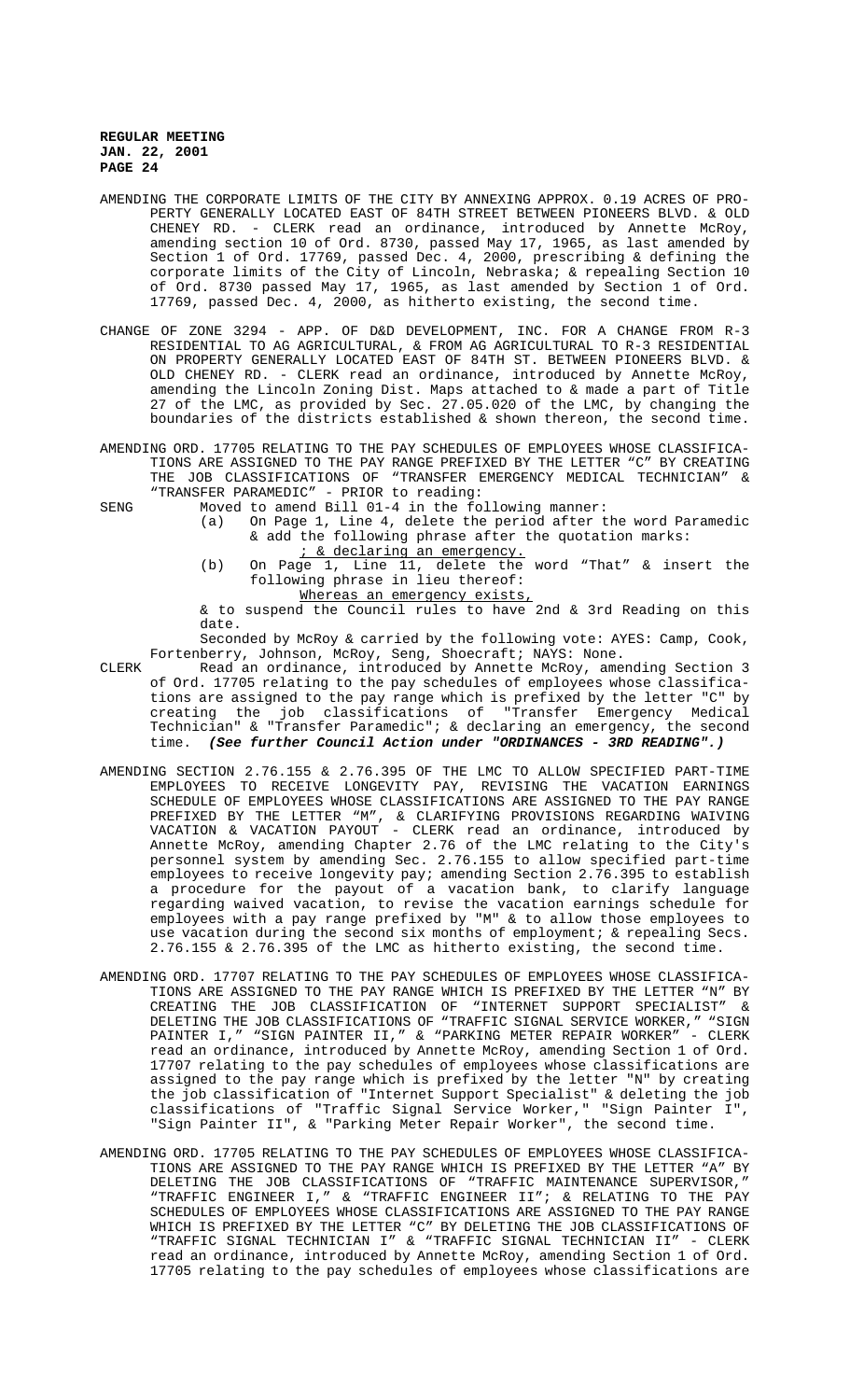- AMENDING THE CORPORATE LIMITS OF THE CITY BY ANNEXING APPROX. 0.19 ACRES OF PRO-PERTY GENERALLY LOCATED EAST OF 84TH STREET BETWEEN PIONEERS BLVD. & OLD CHENEY RD. - CLERK read an ordinance, introduced by Annette McRoy, amending section 10 of Ord. 8730, passed May 17, 1965, as last amended by Section 1 of Ord. 17769, passed Dec. 4, 2000, prescribing & defining the corporate limits of the City of Lincoln, Nebraska; & repealing Section 10 of Ord. 8730 passed May 17, 1965, as last amended by Section 1 of Ord. 17769, passed Dec. 4, 2000, as hitherto existing, the second time.
- CHANGE OF ZONE 3294 APP. OF D&D DEVELOPMENT, INC. FOR A CHANGE FROM R-3 RESIDENTIAL TO AG AGRICULTURAL, & FROM AG AGRICULTURAL TO R-3 RESIDENTIAL ON PROPERTY GENERALLY LOCATED EAST OF 84TH ST. BETWEEN PIONEERS BLVD. & OLD CHENEY RD. - CLERK read an ordinance, introduced by Annette McRoy, amending the Lincoln Zoning Dist. Maps attached to & made a part of Title 27 of the LMC, as provided by Sec. 27.05.020 of the LMC, by changing the boundaries of the districts established & shown thereon, the second time.
- AMENDING ORD. 17705 RELATING TO THE PAY SCHEDULES OF EMPLOYEES WHOSE CLASSIFICA-TIONS ARE ASSIGNED TO THE PAY RANGE PREFIXED BY THE LETTER "C" BY CREATING THE JOB CLASSIFICATIONS OF "TRANSFER EMERGENCY MEDICAL TECHNICIAN" & "TRANSFER PARAMEDIC" - PRIOR to reading:
- SENG Moved to amend Bill 01-4 in the following manner:
	- (a) On Page 1, Line 4, delete the period after the word Paramedic & add the following phrase after the quotation marks:
		- ; & declaring an emergency.
	- (b) On Page 1, Line 11, delete the word "That" & insert the following phrase in lieu thereof:
		- Whereas an emergency exists,

& to suspend the Council rules to have 2nd & 3rd Reading on this date.

Seconded by McRoy & carried by the following vote: AYES: Camp, Cook, Fortenberry, Johnson, McRoy, Seng, Shoecraft; NAYS: None.

- CLERK Read an ordinance, introduced by Annette McRoy, amending Section 3 of Ord. 17705 relating to the pay schedules of employees whose classifications are assigned to the pay range which is prefixed by the letter "C" by creating the job classifications of "Transfer Emergency Medical Technician" & "Transfer Paramedic"; & declaring an emergency, the second time. **(See further Council Action under "ORDINANCES - 3RD READING".)**
- AMENDING SECTION 2.76.155 & 2.76.395 OF THE LMC TO ALLOW SPECIFIED PART-TIME EMPLOYEES TO RECEIVE LONGEVITY PAY, REVISING THE VACATION EARNINGS SCHEDULE OF EMPLOYEES WHOSE CLASSIFICATIONS ARE ASSIGNED TO THE PAY RANGE PREFIXED BY THE LETTER "M", & CLARIFYING PROVISIONS REGARDING WAIVING VACATION & VACATION PAYOUT - CLERK read an ordinance, introduced by Annette McRoy, amending Chapter 2.76 of the LMC relating to the City's personnel system by amending Sec. 2.76.155 to allow specified part-time employees to receive longevity pay; amending Section 2.76.395 to establish a procedure for the payout of a vacation bank, to clarify language regarding waived vacation, to revise the vacation earnings schedule for employees with a pay range prefixed by "M" & to allow those employees to use vacation during the second six months of employment; & repealing Secs. 2.76.155 & 2.76.395 of the LMC as hitherto existing, the second time.
- AMENDING ORD. 17707 RELATING TO THE PAY SCHEDULES OF EMPLOYEES WHOSE CLASSIFICA-TIONS ARE ASSIGNED TO THE PAY RANGE WHICH IS PREFIXED BY THE LETTER "N" BY CREATING THE JOB CLASSIFICATION OF "INTERNET SUPPORT SPECIALIST" & DELETING THE JOB CLASSIFICATIONS OF "TRAFFIC SIGNAL SERVICE WORKER," "SIGN PAINTER I," "SIGN PAINTER II,"  $\&$  "PARKING METER REPAIR WORKER" - CLERK PAINTER I," "SIGN PAINTER II," & "PARKING METER REPAIR WORKER" read an ordinance, introduced by Annette McRoy, amending Section 1 of Ord. 17707 relating to the pay schedules of employees whose classifications are assigned to the pay range which is prefixed by the letter "N" by creating the job classification of "Internet Support Specialist" & deleting the job classifications of "Traffic Signal Service Worker," "Sign Painter I", "Sign Painter II", & "Parking Meter Repair Worker", the second time.
- AMENDING ORD. 17705 RELATING TO THE PAY SCHEDULES OF EMPLOYEES WHOSE CLASSIFICA-TIONS ARE ASSIGNED TO THE PAY RANGE WHICH IS PREFIXED BY THE LETTER "A" BY DELETING THE JOB CLASSIFICATIONS OF "TRAFFIC MAINTENANCE SUPERVISOR," "TRAFFIC ENGINEER I," & "TRAFFIC ENGINEER II"; & RELATING TO THE PAY SCHEDULES OF EMPLOYEES WHOSE CLASSIFICATIONS ARE ASSIGNED TO THE PAY RANGE WHICH IS PREFIXED BY THE LETTER "C" BY DELETING THE JOB CLASSIFICATIONS OF "TRAFFIC SIGNAL TECHNICIAN I" & "TRAFFIC SIGNAL TECHNICIAN II" - CLERK read an ordinance, introduced by Annette McRoy, amending Section 1 of Ord. 17705 relating to the pay schedules of employees whose classifications are